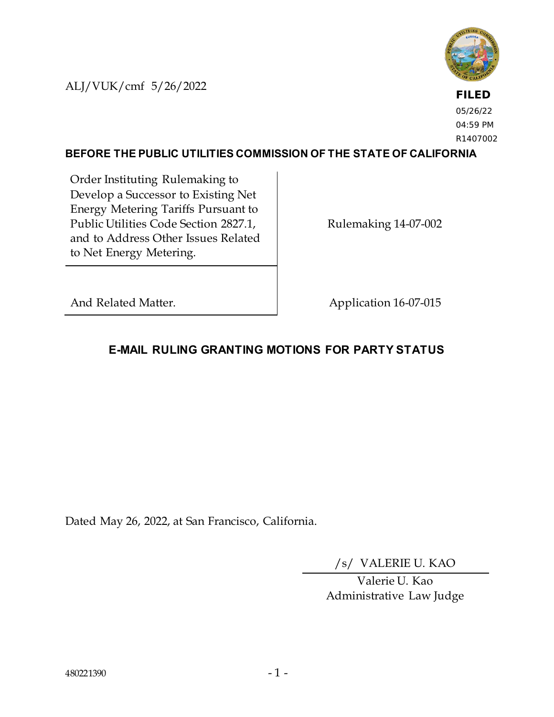ALJ/VUK/cmf 5/26/2022



**FILED** 05/26/22 04:59 PM R1407002

#### **BEFORE THE PUBLIC UTILITIES COMMISSION OF THE STATE OF CALIFORNIA**

Order Instituting Rulemaking to Develop a Successor to Existing Net Energy Metering Tariffs Pursuant to Public Utilities Code Section 2827.1, and to Address Other Issues Related to Net Energy Metering.

Rulemaking 14-07-002

And Related Matter. Application 16-07-015

# **E-MAIL RULING GRANTING MOTIONS FOR PARTY STATUS**

Dated May 26, 2022, at San Francisco, California.

/s/ VALERIE U. KAO

Valerie U. Kao Administrative Law Judge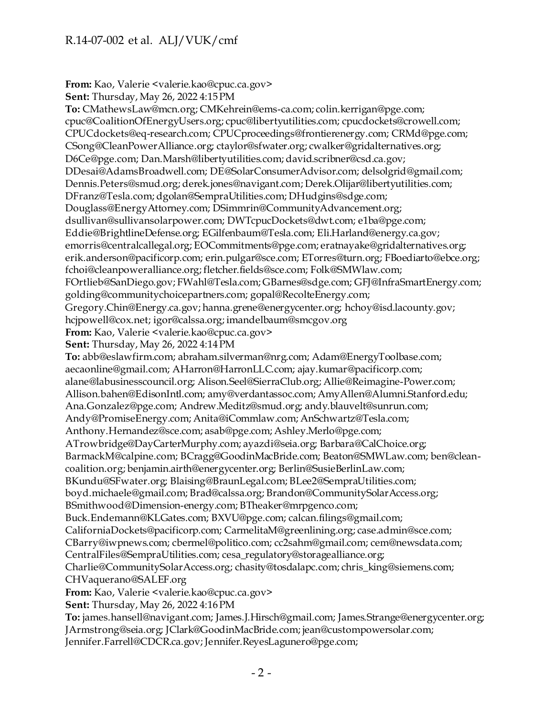## R.14-07-002 et al. ALJ/VUK/cmf

**From:** Kao, Valerie <valerie.kao@cpuc.ca.gov> **Sent:** Thursday, May 26, 2022 4:15 PM **To:** CMathewsLaw@mcn.org; CMKehrein@ems-ca.com; colin.kerrigan@pge.com; cpuc@CoalitionOfEnergyUsers.org; cpuc@libertyutilities.com; cpucdockets@crowell.com; CPUCdockets@eq-research.com; CPUCproceedings@frontierenergy.com; CRMd@pge.com; CSong@CleanPowerAlliance.org; ctaylor@sfwater.org; cwalker@gridalternatives.org; D6Ce@pge.com; Dan.Marsh@libertyutilities.com; david.scribner@csd.ca.gov; DDesai@AdamsBroadwell.com; DE@SolarConsumerAdvisor.com; delsolgrid@gmail.com; Dennis.Peters@smud.org; derek.jones@navigant.com; Derek.Olijar@libertyutilities.com; DFranz@Tesla.com; dgolan@SempraUtilities.com; DHudgins@sdge.com; Douglass@EnergyAttorney.com; DSimmrin@CommunityAdvancement.org; dsullivan@sullivansolarpower.com; DWTcpucDockets@dwt.com; e1ba@pge.com; Eddie@BrightlineDefense.org; EGilfenbaum@Tesla.com; Eli.Harland@energy.ca.gov; emorris@centralcallegal.org; EOCommitments@pge.com; eratnayake@gridalternatives.org; erik.anderson@pacificorp.com; erin.pulgar@sce.com; ETorres@turn.org; FBoediarto@ebce.org; fchoi@cleanpoweralliance.org; fletcher.fields@sce.com; Folk@SMWlaw.com; FOrtlieb@SanDiego.gov; FWahl@Tesla.com; GBarnes@sdge.com; GFJ@InfraSmartEnergy.com; golding@communitychoicepartners.com; gopal@RecolteEnergy.com; Gregory.Chin@Energy.ca.gov; hanna.grene@energycenter.org; hchoy@isd.lacounty.gov; hcjpowell@cox.net; igor@calssa.org; imandelbaum@smcgov.org **From:** Kao, Valerie <valerie.kao@cpuc.ca.gov> **Sent:** Thursday, May 26, 2022 4:14 PM **To:** abb@eslawfirm.com; abraham.silverman@nrg.com; Adam@EnergyToolbase.com; aecaonline@gmail.com; AHarron@HarronLLC.com; ajay.kumar@pacificorp.com; alane@labusinesscouncil.org; Alison.Seel@SierraClub.org; Allie@Reimagine-Power.com; Allison.bahen@EdisonIntl.com; amy@verdantassoc.com; AmyAllen@Alumni.Stanford.edu; Ana.Gonzalez@pge.com; Andrew.Meditz@smud.org; andy.blauvelt@sunrun.com; Andy@PromiseEnergy.com; Anita@iCommlaw.com; AnSchwartz@Tesla.com; Anthony.Hernandez@sce.com; asab@pge.com; Ashley.Merlo@pge.com; ATrowbridge@DayCarterMurphy.com; ayazdi@seia.org; Barbara@CalChoice.org; BarmackM@calpine.com; BCragg@GoodinMacBride.com; Beaton@SMWLaw.com; ben@cleancoalition.org; benjamin.airth@energycenter.org; Berlin@SusieBerlinLaw.com; BKundu@SFwater.org; Blaising@BraunLegal.com; BLee2@SempraUtilities.com; boyd.michaele@gmail.com; Brad@calssa.org; Brandon@CommunitySolarAccess.org; BSmithwood@Dimension-energy.com; BTheaker@mrpgenco.com; Buck.Endemann@KLGates.com; BXVU@pge.com; calcan.filings@gmail.com; CaliforniaDockets@pacificorp.com; CarmelitaM@greenlining.org; case.admin@sce.com; CBarry@iwpnews.com; cbermel@politico.com; cc2sahm@gmail.com; cem@newsdata.com; CentralFiles@SempraUtilities.com; cesa\_regulatory@storagealliance.org; Charlie@CommunitySolarAccess.org; chasity@tosdalapc.com; chris\_king@siemens.com; CHVaquerano@SALEF.org **From:** Kao, Valerie <valerie.kao@cpuc.ca.gov> **Sent:** Thursday, May 26, 2022 4:16 PM **To:** james.hansell@navigant.com; James.J.Hirsch@gmail.com; James.Strange@energycenter.org; JArmstrong@seia.org; JClark@GoodinMacBride.com; jean@custompowersolar.com;

Jennifer.Farrell@CDCR.ca.gov; Jennifer.ReyesLagunero@pge.com;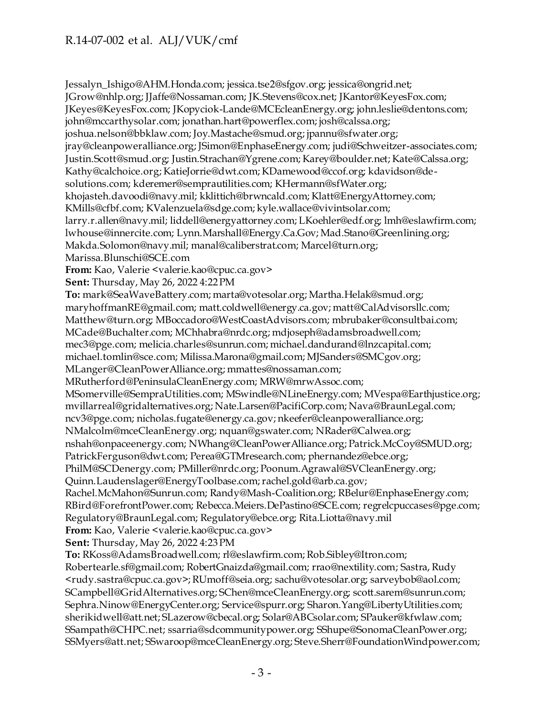# R.14-07-002 et al. ALJ/VUK/cmf

Jessalyn\_Ishigo@AHM.Honda.com; jessica.tse2@sfgov.org; jessica@ongrid.net; JGrow@nhlp.org; JJaffe@Nossaman.com; JK.Stevens@cox.net; JKantor@KeyesFox.com; JKeyes@KeyesFox.com; JKopyciok-Lande@MCEcleanEnergy.org; john.leslie@dentons.com; john@mccarthysolar.com; jonathan.hart@powerflex.com; josh@calssa.org; joshua.nelson@bbklaw.com; Joy.Mastache@smud.org; jpannu@sfwater.org; jray@cleanpoweralliance.org; JSimon@EnphaseEnergy.com; judi@Schweitzer-associates.com; Justin.Scott@smud.org; Justin.Strachan@Ygrene.com; Karey@boulder.net; Kate@Calssa.org; Kathy@calchoice.org; KatieJorrie@dwt.com; KDamewood@ccof.org; kdavidson@desolutions.com; kderemer@semprautilities.com; KHermann@sfWater.org; khojasteh.davoodi@navy.mil; kklittich@brwncald.com; Klatt@EnergyAttorney.com; KMills@cfbf.com; KValenzuela@sdge.com; kyle.wallace@vivintsolar.com; larry.r.allen@navy.mil; liddell@energyattorney.com; LKoehler@edf.org; lmh@eslawfirm.com; lwhouse@innercite.com; Lynn.Marshall@Energy.Ca.Gov; Mad.Stano@Greenlining.org; Makda.Solomon@navy.mil; manal@caliberstrat.com; Marcel@turn.org; Marissa.Blunschi@SCE.com **From:** Kao, Valerie <valerie.kao@cpuc.ca.gov> **Sent:** Thursday, May 26, 2022 4:22 PM **To:** mark@SeaWaveBattery.com; marta@votesolar.org; Martha.Helak@smud.org; maryhoffmanRE@gmail.com; matt.coldwell@energy.ca.gov; matt@CalAdvisorsllc.com; Matthew@turn.org; MBoccadoro@WestCoastAdvisors.com; mbrubaker@consultbai.com; MCade@Buchalter.com; MChhabra@nrdc.org; mdjoseph@adamsbroadwell.com; mec3@pge.com; melicia.charles@sunrun.com; michael.dandurand@lnzcapital.com; michael.tomlin@sce.com; Milissa.Marona@gmail.com; MJSanders@SMCgov.org; MLanger@CleanPowerAlliance.org; mmattes@nossaman.com; MRutherford@PeninsulaCleanEnergy.com; MRW@mrwAssoc.com; MSomerville@SempraUtilities.com; MSwindle@NLineEnergy.com; MVespa@Earthjustice.org; mvillarreal@gridalternatives.org; Nate.Larsen@PacifiCorp.com; Nava@BraunLegal.com; ncv3@pge.com; nicholas.fugate@energy.ca.gov; nkeefer@cleanpoweralliance.org; NMalcolm@mceCleanEnergy.org; nquan@gswater.com; NRader@Calwea.org; nshah@onpaceenergy.com; NWhang@CleanPowerAlliance.org; Patrick.McCoy@SMUD.org; PatrickFerguson@dwt.com; Perea@GTMresearch.com; phernandez@ebce.org; PhilM@SCDenergy.com; PMiller@nrdc.org; Poonum.Agrawal@SVCleanEnergy.org; Quinn.Laudenslager@EnergyToolbase.com; rachel.gold@arb.ca.gov; Rachel.McMahon@Sunrun.com; Randy@Mash-Coalition.org; RBelur@EnphaseEnergy.com; RBird@ForefrontPower.com; Rebecca.Meiers.DePastino@SCE.com; regrelcpuccases@pge.com; Regulatory@BraunLegal.com; Regulatory@ebce.org; Rita.Liotta@navy.mil **From:** Kao, Valerie <valerie.kao@cpuc.ca.gov> **Sent:** Thursday, May 26, 2022 4:23 PM **To:** RKoss@AdamsBroadwell.com; rl@eslawfirm.com; Rob.Sibley@Itron.com; Robertearle.sf@gmail.com; RobertGnaizda@gmail.com; rrao@nextility.com; Sastra, Rudy <rudy.sastra@cpuc.ca.gov>; RUmoff@seia.org; sachu@votesolar.org; sarveybob@aol.com; SCampbell@GridAlternatives.org; SChen@mceCleanEnergy.org; scott.sarem@sunrun.com; Sephra.Ninow@EnergyCenter.org; Service@spurr.org; Sharon.Yang@LibertyUtilities.com; sherikidwell@att.net; SLazerow@cbecal.org; Solar@ABCsolar.com; SPauker@kfwlaw.com; SSampath@CHPC.net; ssarria@sdcommunitypower.org; SShupe@SonomaCleanPower.org; SSMyers@att.net; SSwaroop@mceCleanEnergy.org; Steve.Sherr@FoundationWindpower.com;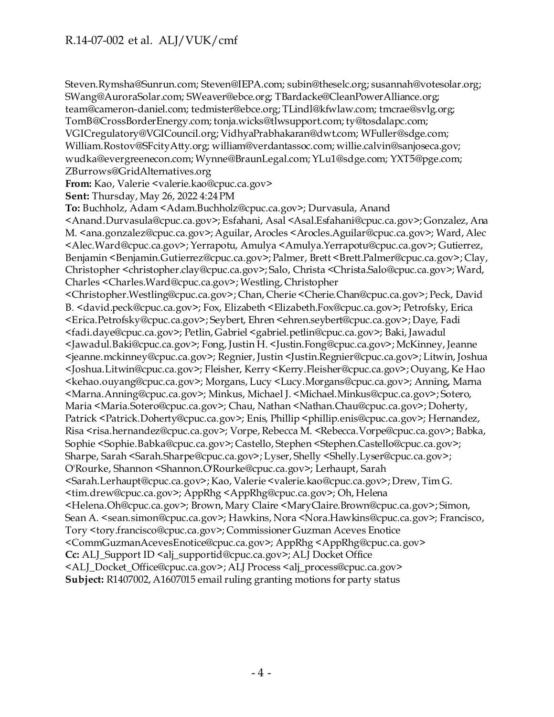Steven.Rymsha@Sunrun.com; Steven@IEPA.com; subin@theselc.org; susannah@votesolar.org; SWang@AuroraSolar.com; SWeaver@ebce.org; TBardacke@CleanPowerAlliance.org; team@cameron-daniel.com; tedmister@ebce.org; TLindl@kfwlaw.com; tmcrae@svlg.org; TomB@CrossBorderEnergy.com; tonja.wicks@tlwsupport.com; ty@tosdalapc.com; VGICregulatory@VGICouncil.org; VidhyaPrabhakaran@dwt.com; WFuller@sdge.com; William.Rostov@SFcityAtty.org; william@verdantassoc.com; willie.calvin@sanjoseca.gov; wudka@evergreenecon.com; Wynne@BraunLegal.com; YLu1@sdge.com; YXT5@pge.com; ZBurrows@GridAlternatives.org **From:** Kao, Valerie <valerie.kao@cpuc.ca.gov> **Sent:** Thursday, May 26, 2022 4:24 PM **To:** Buchholz, Adam <Adam.Buchholz@cpuc.ca.gov>; Durvasula, Anand

<Anand.Durvasula@cpuc.ca.gov>; Esfahani, Asal <Asal.Esfahani@cpuc.ca.gov>; Gonzalez, Ana M. <ana.gonzalez@cpuc.ca.gov>; Aguilar, Arocles <Arocles.Aguilar@cpuc.ca.gov>; Ward, Alec <Alec.Ward@cpuc.ca.gov>; Yerrapotu, Amulya <Amulya.Yerrapotu@cpuc.ca.gov>; Gutierrez, Benjamin <Benjamin.Gutierrez@cpuc.ca.gov>; Palmer, Brett <Brett.Palmer@cpuc.ca.gov>; Clay, Christopher <christopher.clay@cpuc.ca.gov>; Salo, Christa <Christa.Salo@cpuc.ca.gov>; Ward, Charles <Charles.Ward@cpuc.ca.gov>; Westling, Christopher

<Christopher.Westling@cpuc.ca.gov>; Chan, Cherie <Cherie.Chan@cpuc.ca.gov>; Peck, David B. <david.peck@cpuc.ca.gov>; Fox, Elizabeth <Elizabeth.Fox@cpuc.ca.gov>; Petrofsky, Erica <Erica.Petrofsky@cpuc.ca.gov>; Seybert, Ehren <ehren.seybert@cpuc.ca.gov>; Daye, Fadi <fadi.daye@cpuc.ca.gov>; Petlin, Gabriel <gabriel.petlin@cpuc.ca.gov>; Baki, Jawadul <Jawadul.Baki@cpuc.ca.gov>; Fong, Justin H. <Justin.Fong@cpuc.ca.gov>; McKinney, Jeanne <jeanne.mckinney@cpuc.ca.gov>; Regnier, Justin <Justin.Regnier@cpuc.ca.gov>; Litwin, Joshua <Joshua.Litwin@cpuc.ca.gov>; Fleisher, Kerry <Kerry.Fleisher@cpuc.ca.gov>; Ouyang, Ke Hao <kehao.ouyang@cpuc.ca.gov>; Morgans, Lucy <Lucy.Morgans@cpuc.ca.gov>; Anning, Marna <Marna.Anning@cpuc.ca.gov>; Minkus, Michael J. <Michael.Minkus@cpuc.ca.gov>; Sotero, Maria <Maria.Sotero@cpuc.ca.gov>; Chau, Nathan <Nathan.Chau@cpuc.ca.gov>; Doherty, Patrick <Patrick.Doherty@cpuc.ca.gov>; Enis, Phillip <phillip.enis@cpuc.ca.gov>; Hernandez, Risa <risa.hernandez@cpuc.ca.gov>; Vorpe, Rebecca M. <Rebecca.Vorpe@cpuc.ca.gov>; Babka, Sophie <Sophie.Babka@cpuc.ca.gov>; Castello, Stephen <Stephen.Castello@cpuc.ca.gov>; Sharpe, Sarah <Sarah.Sharpe@cpuc.ca.gov>; Lyser, Shelly <Shelly.Lyser@cpuc.ca.gov>; O'Rourke, Shannon <Shannon.O'Rourke@cpuc.ca.gov>; Lerhaupt, Sarah <Sarah.Lerhaupt@cpuc.ca.gov>; Kao, Valerie <valerie.kao@cpuc.ca.gov>; Drew, Tim G. <tim.drew@cpuc.ca.gov>; AppRhg <AppRhg@cpuc.ca.gov>; Oh, Helena <Helena.Oh@cpuc.ca.gov>; Brown, Mary Claire <MaryClaire.Brown@cpuc.ca.gov>; Simon, Sean A. <sean.simon@cpuc.ca.gov>; Hawkins, Nora <Nora.Hawkins@cpuc.ca.gov>; Francisco, Tory <tory.francisco@cpuc.ca.gov>; Commissioner Guzman Aceves Enotice <CommGuzmanAcevesEnotice@cpuc.ca.gov>; AppRhg <AppRhg@cpuc.ca.gov> **Cc:** ALJ\_Support ID <alj\_supportid@cpuc.ca.gov>; ALJ Docket Office <ALJ\_Docket\_Office@cpuc.ca.gov>; ALJ Process <alj\_process@cpuc.ca.gov> **Subject:** R1407002, A1607015 email ruling granting motions for party status